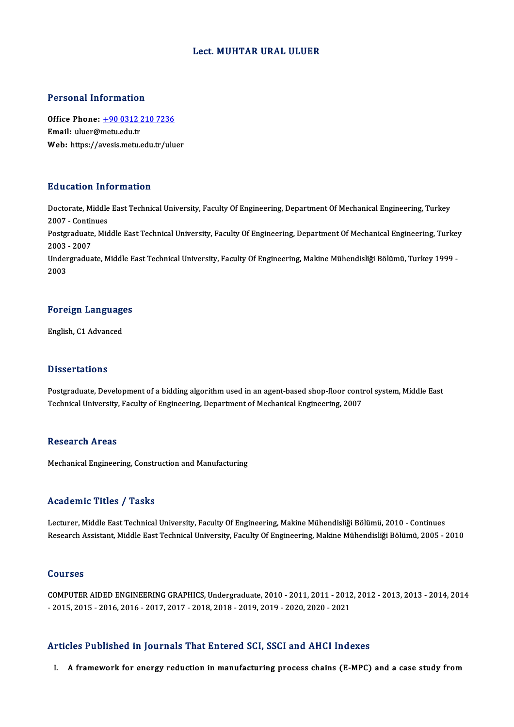#### Lect.MUHTAR URAL ULUER

#### Personal Information

Personal Information<br>Office Phone: <u>+90 0312 210 7236</u><br>Email: uluer@matuedu.tr office Phone: <u>+90 0312</u><br>Email: uluer@metu.edu.tr<br>Web: https://avesis.metu.edu Email: uluer@metu.edu.tr<br>Web: https://a[vesis.metu.edu.tr/ulu](tel:+90 0312 210 7236)er

### Education Information

**Education Information**<br>Doctorate, Middle East Technical University, Faculty Of Engineering, Department Of Mechanical Engineering, Turkey<br>2007 - Continues 200200011111<br>Doctorate, Middle<br>2007 - Continues<br>Postareduate Mid Doctorate, Middle East Technical University, Faculty Of Engineering, Department Of Mechanical Engineering, Turkey<br>2007 - Continues<br>Postgraduate, Middle East Technical University, Faculty Of Engineering, Department Of Mecha 2007 - Conti<mark>r</mark><br>Postgraduate<br>2003 - 2007<br>Undergradua Postgraduate, Middle East Technical University, Faculty Of Engineering, Department Of Mechanical Engineering, Turkey<br>2003 - 2007<br>Undergraduate, Middle East Technical University, Faculty Of Engineering, Makine Mühendisliği

2003 - 2007<br>Undergraduate, Middle East Technical University, Faculty Of Engineering, Makine Mühendisliği Bölümü, Turkey 1999 -<br>2003

## <sub>2003</sub><br>Foreign Languages <mark>Foreign Languag</mark><br>English, C1 Advanced

English, C1 Advanced<br>Dissertations

Dissertations<br>Postgraduate, Development of a bidding algorithm used in an agent-based shop-floor control system, Middle East<br>Technical University, Faculty of Engineering, Denartment of Mechanical Engineering, 2007. Dissor tations<br>Postgraduate, Development of a bidding algorithm used in an agent-based shop-floor conti<br>Technical University, Faculty of Engineering, Department of Mechanical Engineering, 2007 Technical University, Faculty of Engineering, Department of Mechanical Engineering, 2007<br>Research Areas

Mechanical Engineering, Construction and Manufacturing

### Academic Titles / Tasks

Lecturer, Middle East Technical University, Faculty Of Engineering, Makine Mühendisliği Bölümü, 2010 - Continues Research Assistant, Middle East Technical University, Faculty Of Engineering, Makine Mühendisliği Bölümü, 2005 - 2010

#### Courses

Courses<br>COMPUTER AIDED ENGINEERING GRAPHICS, Undergraduate, 2010 - 2011, 2011 - 2012, 2012 - 2013, 2013 - 2014, 2014<br>2015 -2015 -2016 -2016 -2017 -2017 -2018, 2019 - 2019, 2019, 2020, 2020, 2021 COMPUTER AIDED ENGINEERING GRAPHICS, Undergraduate, 2010 - 2011, 2011 - 2012<br>- 2015, 2015 - 2016, 2016 - 2017, 2017 - 2018, 2018 - 2019, 2019 - 2020, 2020 - 2021

# Articles Published in Journals That Entered SCI, SSCI and AHCI Indexes

I. A framework for energy reduction in manufacturing process chains (E-MPC) and a case study from